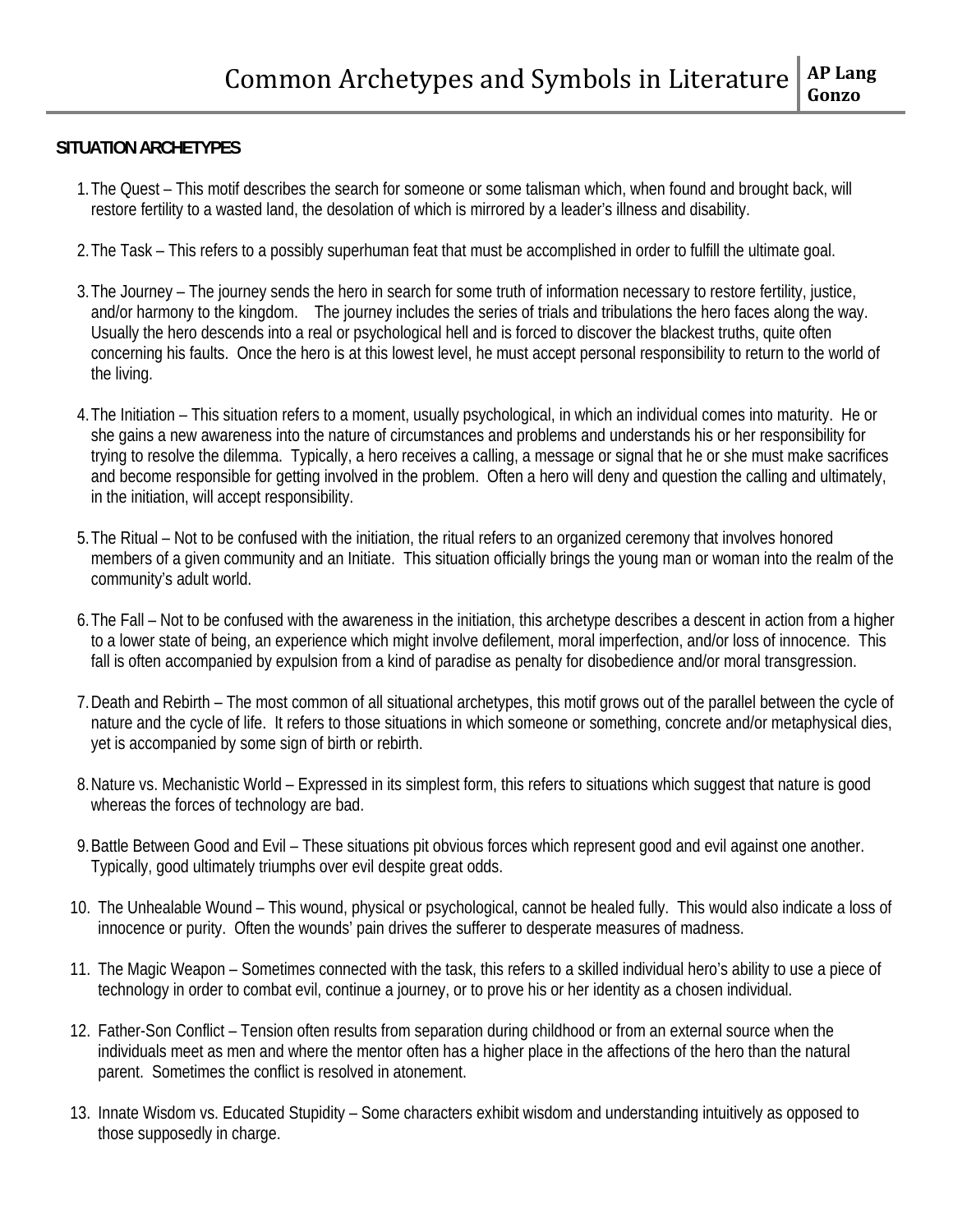### **SITUATION ARCHETYPES**

- 1.The Quest This motif describes the search for someone or some talisman which, when found and brought back, will restore fertility to a wasted land, the desolation of which is mirrored by a leader's illness and disability.
- 2.The Task This refers to a possibly superhuman feat that must be accomplished in order to fulfill the ultimate goal.
- 3.The Journey The journey sends the hero in search for some truth of information necessary to restore fertility, justice, and/or harmony to the kingdom. The journey includes the series of trials and tribulations the hero faces along the way. Usually the hero descends into a real or psychological hell and is forced to discover the blackest truths, quite often concerning his faults. Once the hero is at this lowest level, he must accept personal responsibility to return to the world of the living.
- 4.The Initiation This situation refers to a moment, usually psychological, in which an individual comes into maturity. He or she gains a new awareness into the nature of circumstances and problems and understands his or her responsibility for trying to resolve the dilemma. Typically, a hero receives a calling, a message or signal that he or she must make sacrifices and become responsible for getting involved in the problem. Often a hero will deny and question the calling and ultimately, in the initiation, will accept responsibility.
- 5.The Ritual Not to be confused with the initiation, the ritual refers to an organized ceremony that involves honored members of a given community and an Initiate. This situation officially brings the young man or woman into the realm of the community's adult world.
- 6.The Fall Not to be confused with the awareness in the initiation, this archetype describes a descent in action from a higher to a lower state of being, an experience which might involve defilement, moral imperfection, and/or loss of innocence. This fall is often accompanied by expulsion from a kind of paradise as penalty for disobedience and/or moral transgression.
- 7.Death and Rebirth The most common of all situational archetypes, this motif grows out of the parallel between the cycle of nature and the cycle of life. It refers to those situations in which someone or something, concrete and/or metaphysical dies, yet is accompanied by some sign of birth or rebirth.
- 8.Nature vs. Mechanistic World Expressed in its simplest form, this refers to situations which suggest that nature is good whereas the forces of technology are bad.
- 9.Battle Between Good and Evil These situations pit obvious forces which represent good and evil against one another. Typically, good ultimately triumphs over evil despite great odds.
- 10. The Unhealable Wound This wound, physical or psychological, cannot be healed fully. This would also indicate a loss of innocence or purity. Often the wounds' pain drives the sufferer to desperate measures of madness.
- 11. The Magic Weapon Sometimes connected with the task, this refers to a skilled individual hero's ability to use a piece of technology in order to combat evil, continue a journey, or to prove his or her identity as a chosen individual.
- 12. Father-Son Conflict Tension often results from separation during childhood or from an external source when the individuals meet as men and where the mentor often has a higher place in the affections of the hero than the natural parent. Sometimes the conflict is resolved in atonement.
- 13. Innate Wisdom vs. Educated Stupidity Some characters exhibit wisdom and understanding intuitively as opposed to those supposedly in charge.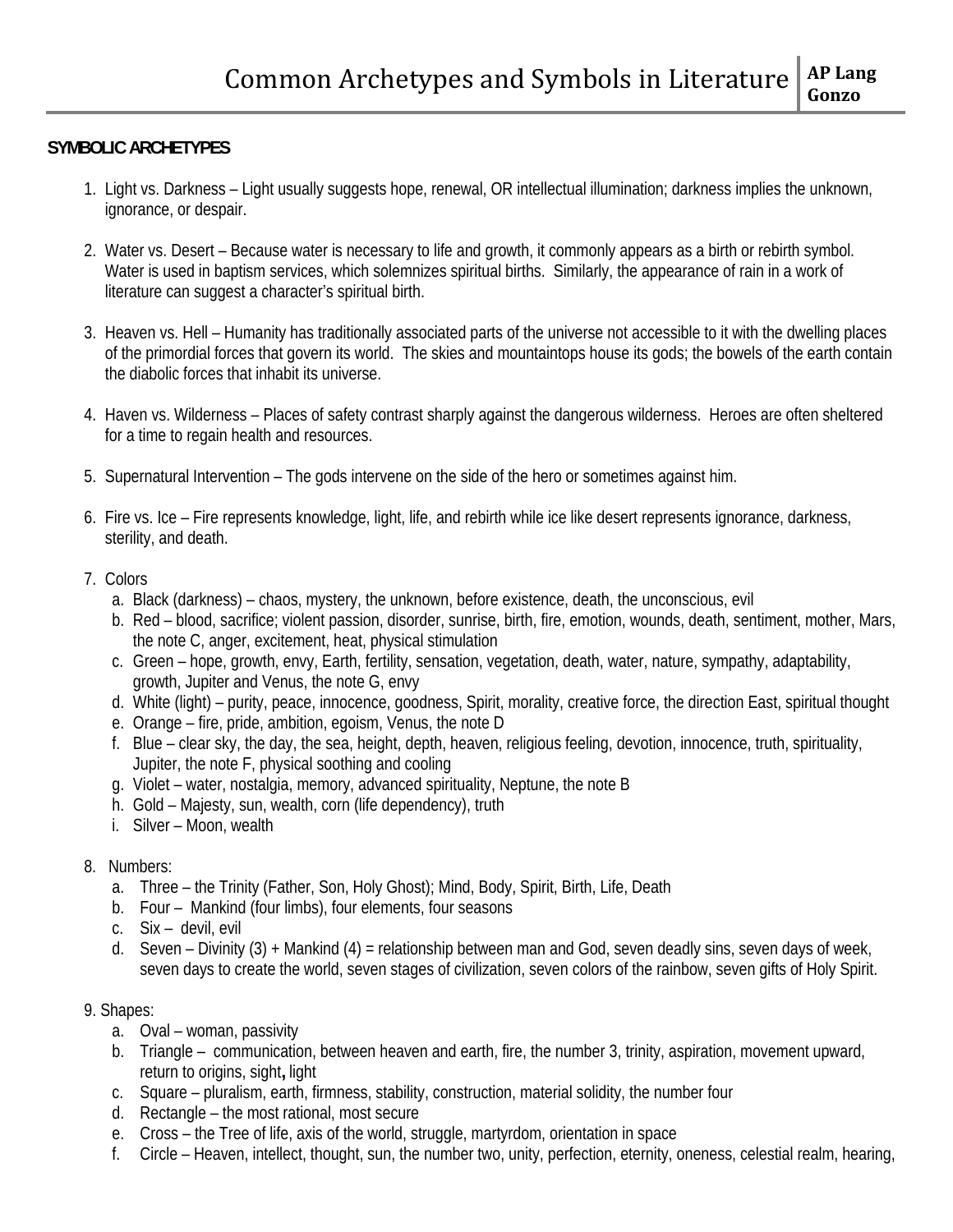### **SYMBOLIC ARCHETYPES**

- 1. Light vs. Darkness Light usually suggests hope, renewal, OR intellectual illumination; darkness implies the unknown, ignorance, or despair.
- 2. Water vs. Desert Because water is necessary to life and growth, it commonly appears as a birth or rebirth symbol. Water is used in baptism services, which solemnizes spiritual births. Similarly, the appearance of rain in a work of literature can suggest a character's spiritual birth.
- 3. Heaven vs. Hell Humanity has traditionally associated parts of the universe not accessible to it with the dwelling places of the primordial forces that govern its world. The skies and mountaintops house its gods; the bowels of the earth contain the diabolic forces that inhabit its universe.
- 4. Haven vs. Wilderness Places of safety contrast sharply against the dangerous wilderness. Heroes are often sheltered for a time to regain health and resources.
- 5. Supernatural Intervention The gods intervene on the side of the hero or sometimes against him.
- 6. Fire vs. Ice Fire represents knowledge, light, life, and rebirth while ice like desert represents ignorance, darkness, sterility, and death.
- 7. Colors
	- a. Black (darkness) chaos, mystery, the unknown, before existence, death, the unconscious, evil
	- b. Red blood, sacrifice; violent passion, disorder, sunrise, birth, fire, emotion, wounds, death, sentiment, mother, Mars, the note C, anger, excitement, heat, physical stimulation
	- c. Green hope, growth, envy, Earth, fertility, sensation, vegetation, death, water, nature, sympathy, adaptability, growth, Jupiter and Venus, the note G, envy
	- d. White (light) purity, peace, innocence, goodness, Spirit, morality, creative force, the direction East, spiritual thought
	- e. Orange fire, pride, ambition, egoism, Venus, the note D
	- f. Blue clear sky, the day, the sea, height, depth, heaven, religious feeling, devotion, innocence, truth, spirituality, Jupiter, the note F, physical soothing and cooling
	- g. Violet water, nostalgia, memory, advanced spirituality, Neptune, the note B
	- h. Gold Majesty, sun, wealth, corn (life dependency), truth
	- i. Silver Moon, wealth
- 8. Numbers:
	- a. Three the Trinity (Father, Son, Holy Ghost); Mind, Body, Spirit, Birth, Life, Death
	- b. Four Mankind (four limbs), four elements, four seasons
	- c. Six devil, evil
	- d. Seven Divinity (3) + Mankind (4) = relationship between man and God, seven deadly sins, seven days of week, seven days to create the world, seven stages of civilization, seven colors of the rainbow, seven gifts of Holy Spirit.

### 9. Shapes:

- a. Oval woman, passivity
- b. Triangle communication, between heaven and earth, fire, the number 3, trinity, aspiration, movement upward, return to origins, sight**,** light
- c. Square pluralism, earth, firmness, stability, construction, material solidity, the number four
- d. Rectangle the most rational, most secure
- e. Cross the Tree of life, axis of the world, struggle, martyrdom, orientation in space
- f. Circle Heaven, intellect, thought, sun, the number two, unity, perfection, eternity, oneness, celestial realm, hearing,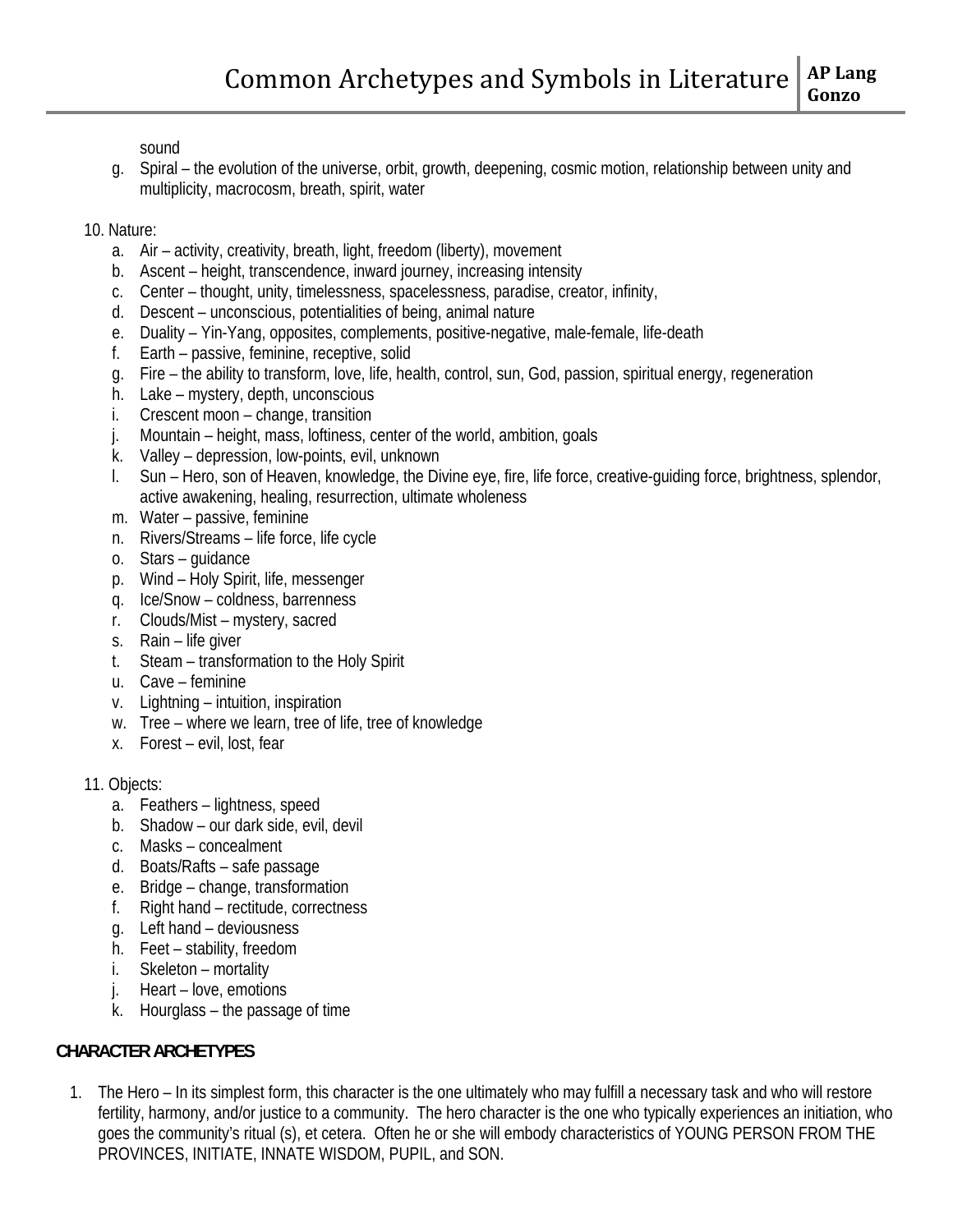sound

g. Spiral – the evolution of the universe, orbit, growth, deepening, cosmic motion, relationship between unity and multiplicity, macrocosm, breath, spirit, water

### 10. Nature:

- a. Air activity, creativity, breath, light, freedom (liberty), movement
- b. Ascent height, transcendence, inward journey, increasing intensity
- c. Center thought, unity, timelessness, spacelessness, paradise, creator, infinity,
- d. Descent unconscious, potentialities of being, animal nature
- e. Duality Yin-Yang, opposites, complements, positive-negative, male-female, life-death
- f. Earth passive, feminine, receptive, solid
- g. Fire the ability to transform, love, life, health, control, sun, God, passion, spiritual energy, regeneration
- h. Lake mystery, depth, unconscious
- i. Crescent moon change, transition
- j. Mountain height, mass, loftiness, center of the world, ambition, goals
- k. Valley depression, low-points, evil, unknown
- l. Sun Hero, son of Heaven, knowledge, the Divine eye, fire, life force, creative-guiding force, brightness, splendor, active awakening, healing, resurrection, ultimate wholeness
- m. Water passive, feminine
- n. Rivers/Streams life force, life cycle
- o. Stars guidance
- p. Wind Holy Spirit, life, messenger
- q. Ice/Snow coldness, barrenness
- r. Clouds/Mist mystery, sacred
- s. Rain life giver
- t. Steam transformation to the Holy Spirit
- u. Cave feminine
- v. Lightning intuition, inspiration
- w. Tree where we learn, tree of life, tree of knowledge
- x. Forest evil, lost, fear

# 11. Objects:

- a. Feathers lightness, speed
- b. Shadow our dark side, evil, devil
- c. Masks concealment
- d. Boats/Rafts safe passage
- e. Bridge change, transformation
- f. Right hand rectitude, correctness
- g. Left hand deviousness
- h. Feet stability, freedom
- i. Skeleton mortality
- j. Heart love, emotions
- k. Hourglass the passage of time

# **CHARACTER ARCHETYPES**

1. The Hero – In its simplest form, this character is the one ultimately who may fulfill a necessary task and who will restore fertility, harmony, and/or justice to a community. The hero character is the one who typically experiences an initiation, who goes the community's ritual (s), et cetera. Often he or she will embody characteristics of YOUNG PERSON FROM THE PROVINCES, INITIATE, INNATE WISDOM, PUPIL, and SON.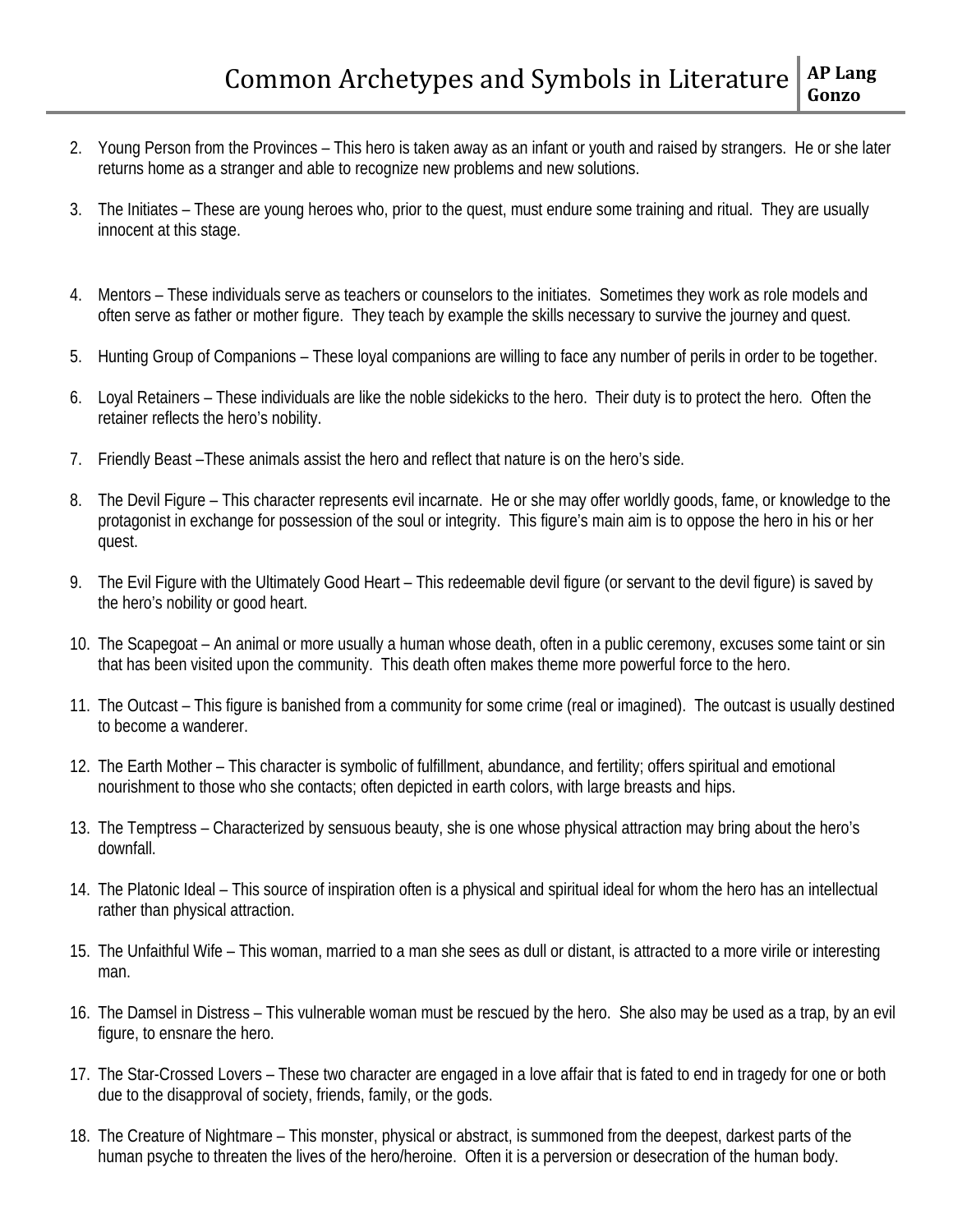- 2. Young Person from the Provinces This hero is taken away as an infant or youth and raised by strangers. He or she later returns home as a stranger and able to recognize new problems and new solutions.
- 3. The Initiates These are young heroes who, prior to the quest, must endure some training and ritual. They are usually innocent at this stage.
- 4. Mentors These individuals serve as teachers or counselors to the initiates. Sometimes they work as role models and often serve as father or mother figure. They teach by example the skills necessary to survive the journey and quest.
- 5. Hunting Group of Companions These loyal companions are willing to face any number of perils in order to be together.
- 6. Loyal Retainers These individuals are like the noble sidekicks to the hero. Their duty is to protect the hero. Often the retainer reflects the hero's nobility.
- 7. Friendly Beast –These animals assist the hero and reflect that nature is on the hero's side.
- 8. The Devil Figure This character represents evil incarnate. He or she may offer worldly goods, fame, or knowledge to the protagonist in exchange for possession of the soul or integrity. This figure's main aim is to oppose the hero in his or her quest.
- 9. The Evil Figure with the Ultimately Good Heart This redeemable devil figure (or servant to the devil figure) is saved by the hero's nobility or good heart.
- 10. The Scapegoat An animal or more usually a human whose death, often in a public ceremony, excuses some taint or sin that has been visited upon the community. This death often makes theme more powerful force to the hero.
- 11. The Outcast This figure is banished from a community for some crime (real or imagined). The outcast is usually destined to become a wanderer.
- 12. The Earth Mother This character is symbolic of fulfillment, abundance, and fertility; offers spiritual and emotional nourishment to those who she contacts; often depicted in earth colors, with large breasts and hips.
- 13. The Temptress Characterized by sensuous beauty, she is one whose physical attraction may bring about the hero's downfall.
- 14. The Platonic Ideal This source of inspiration often is a physical and spiritual ideal for whom the hero has an intellectual rather than physical attraction.
- 15. The Unfaithful Wife This woman, married to a man she sees as dull or distant, is attracted to a more virile or interesting man.
- 16. The Damsel in Distress This vulnerable woman must be rescued by the hero. She also may be used as a trap, by an evil figure, to ensnare the hero.
- 17. The Star-Crossed Lovers These two character are engaged in a love affair that is fated to end in tragedy for one or both due to the disapproval of society, friends, family, or the gods.
- 18. The Creature of Nightmare This monster, physical or abstract, is summoned from the deepest, darkest parts of the human psyche to threaten the lives of the hero/heroine. Often it is a perversion or desecration of the human body.